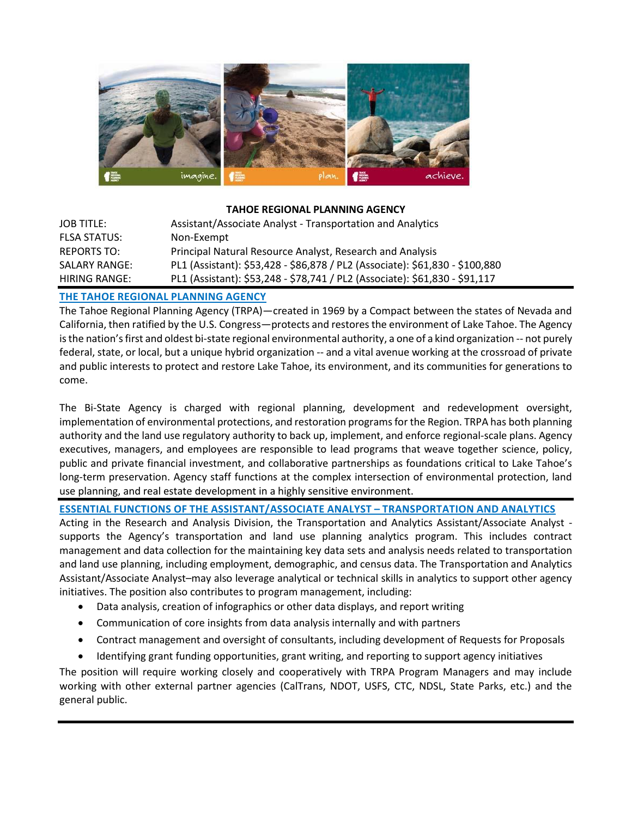

# **TAHOE REGIONAL PLANNING AGENCY**

| <b>JOB TITLE:</b>    | Assistant/Associate Analyst - Transportation and Analytics                   |
|----------------------|------------------------------------------------------------------------------|
| <b>FLSA STATUS:</b>  | Non-Exempt                                                                   |
| <b>REPORTS TO:</b>   | Principal Natural Resource Analyst, Research and Analysis                    |
| <b>SALARY RANGE:</b> | PL1 (Assistant): \$53,428 - \$86,878 / PL2 (Associate): \$61,830 - \$100,880 |
| HIRING RANGE:        | PL1 (Assistant): \$53,248 - \$78,741 / PL2 (Associate): \$61,830 - \$91,117  |

# **THE TAHOE REGIONAL PLANNING AGENCY**

The Tahoe Regional Planning Agency (TRPA)—created in 1969 by a Compact between the states of Nevada and California, then ratified by the U.S. Congress—protects and restores the environment of Lake Tahoe. The Agency is the nation's first and oldest bi-state regional environmental authority, a one of a kind organization -- not purely federal, state, or local, but a unique hybrid organization -- and a vital avenue working at the crossroad of private and public interests to protect and restore Lake Tahoe, its environment, and its communities for generations to come.

The Bi-State Agency is charged with regional planning, development and redevelopment oversight, implementation of environmental protections, and restoration programs for the Region. TRPA has both planning authority and the land use regulatory authority to back up, implement, and enforce regional-scale plans. Agency executives, managers, and employees are responsible to lead programs that weave together science, policy, public and private financial investment, and collaborative partnerships as foundations critical to Lake Tahoe's long-term preservation. Agency staff functions at the complex intersection of environmental protection, land use planning, and real estate development in a highly sensitive environment.

#### **ESSENTIAL FUNCTIONS OF THE ASSISTANT/ASSOCIATE ANALYST – TRANSPORTATION AND ANALYTICS**

Acting in the Research and Analysis Division, the Transportation and Analytics Assistant/Associate Analyst supports the Agency's transportation and land use planning analytics program. This includes contract management and data collection for the maintaining key data sets and analysis needs related to transportation and land use planning, including employment, demographic, and census data. The Transportation and Analytics Assistant/Associate Analyst–may also leverage analytical or technical skills in analytics to support other agency initiatives. The position also contributes to program management, including:

- Data analysis, creation of infographics or other data displays, and report writing
- Communication of core insights from data analysis internally and with partners
- Contract management and oversight of consultants, including development of Requests for Proposals
- Identifying grant funding opportunities, grant writing, and reporting to support agency initiatives

The position will require working closely and cooperatively with TRPA Program Managers and may include working with other external partner agencies (CalTrans, NDOT, USFS, CTC, NDSL, State Parks, etc.) and the general public.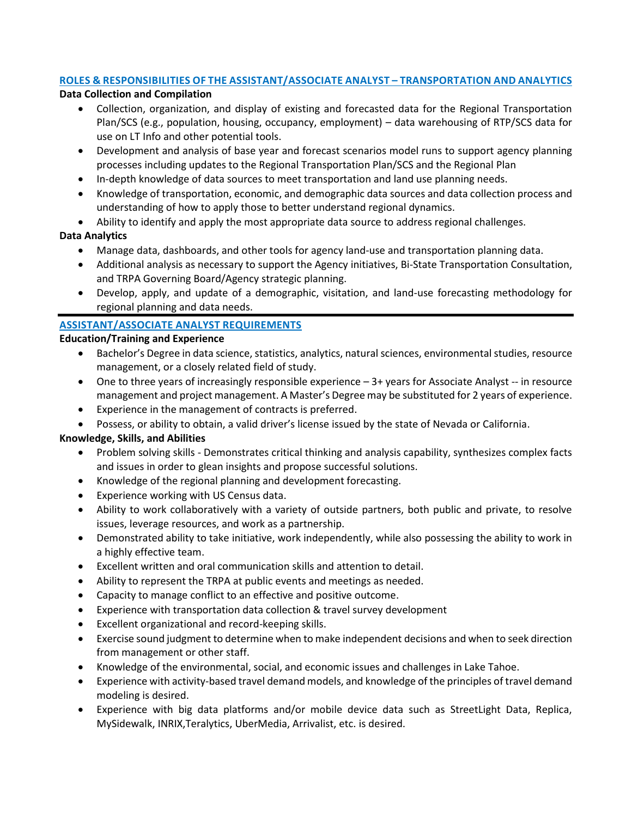## **ROLES & RESPONSIBILITIES OF THE ASSISTANT/ASSOCIATE ANALYST – TRANSPORTATION AND ANALYTICS**

#### **Data Collection and Compilation**

- Collection, organization, and display of existing and forecasted data for the Regional Transportation Plan/SCS (e.g., population, housing, occupancy, employment) – data warehousing of RTP/SCS data for use on LT Info and other potential tools.
- Development and analysis of base year and forecast scenarios model runs to support agency planning processes including updates to the Regional Transportation Plan/SCS and the Regional Plan
- In-depth knowledge of data sources to meet transportation and land use planning needs.
- Knowledge of transportation, economic, and demographic data sources and data collection process and understanding of how to apply those to better understand regional dynamics.
- Ability to identify and apply the most appropriate data source to address regional challenges.

# **Data Analytics**

- Manage data, dashboards, and other tools for agency land-use and transportation planning data.
- Additional analysis as necessary to support the Agency initiatives, Bi-State Transportation Consultation, and TRPA Governing Board/Agency strategic planning.
- Develop, apply, and update of a demographic, visitation, and land-use forecasting methodology for regional planning and data needs.

# **ASSISTANT/ASSOCIATE ANALYST REQUIREMENTS**

#### **Education/Training and Experience**

- Bachelor's Degree in data science, statistics, analytics, natural sciences, environmental studies, resource management, or a closely related field of study.
- One to three years of increasingly responsible experience 3+ years for Associate Analyst -- in resource management and project management. A Master's Degree may be substituted for 2 years of experience.
- Experience in the management of contracts is preferred.
- Possess, or ability to obtain, a valid driver's license issued by the state of Nevada or California.

## **Knowledge, Skills, and Abilities**

- Problem solving skills Demonstrates critical thinking and analysis capability, synthesizes complex facts and issues in order to glean insights and propose successful solutions.
- Knowledge of the regional planning and development forecasting.
- Experience working with US Census data.
- Ability to work collaboratively with a variety of outside partners, both public and private, to resolve issues, leverage resources, and work as a partnership.
- Demonstrated ability to take initiative, work independently, while also possessing the ability to work in a highly effective team.
- Excellent written and oral communication skills and attention to detail.
- Ability to represent the TRPA at public events and meetings as needed.
- Capacity to manage conflict to an effective and positive outcome.
- Experience with transportation data collection & travel survey development
- Excellent organizational and record-keeping skills.
- Exercise sound judgment to determine when to make independent decisions and when to seek direction from management or other staff.
- Knowledge of the environmental, social, and economic issues and challenges in Lake Tahoe.
- Experience with activity-based travel demand models, and knowledge of the principles of travel demand modeling is desired.
- Experience with big data platforms and/or mobile device data such as StreetLight Data, Replica, MySidewalk, INRIX,Teralytics, UberMedia, Arrivalist, etc. is desired.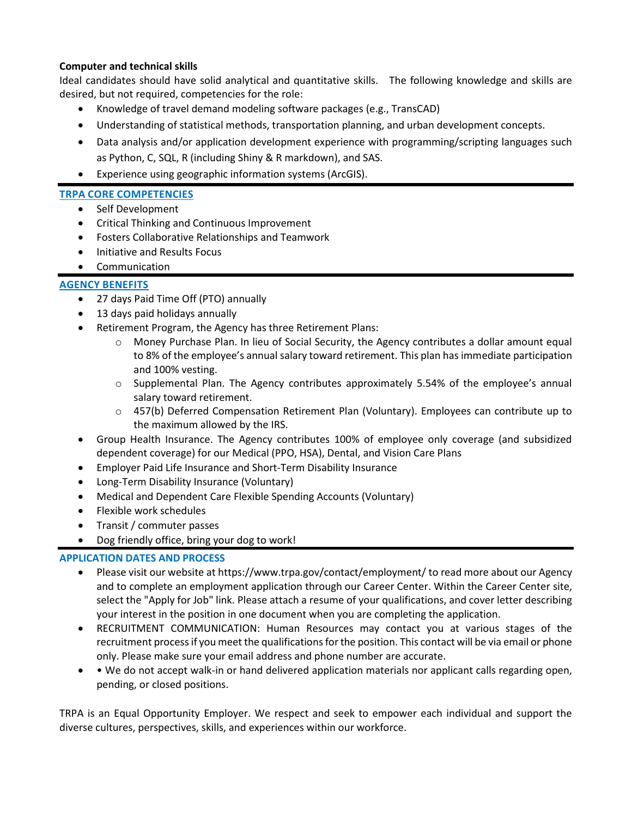#### **Computer and technical skills**

Ideal candidates should have solid analytical and quantitative skills. The following knowledge and skills are desired, but not required, competencies for the role:

- Knowledge of travel demand modeling software packages (e.g., TransCAD)
- Understanding of statistical methods, transportation planning, and urban development concepts.
- Data analysis and/or application development experience with programming/scripting languages such as Python, C, SQL, R (including Shiny & R markdown), and SAS.
- Experience using geographic information systems (ArcGIS).

#### **TRPA CORE COMPETENCIES**

- Self Development
- Critical Thinking and Continuous Improvement
- Fosters Collaborative Relationships and Teamwork
- Initiative and Results Focus
- Communication

## **AGENCY BENEFITS**

- 27 days Paid Time Off (PTO) annually
- 13 days paid holidays annually
- Retirement Program, the Agency has three Retirement Plans:
	- $\circ$  Money Purchase Plan. In lieu of Social Security, the Agency contributes a dollar amount equal to 8% of the employee's annual salary toward retirement. This plan has immediate participation and 100% vesting.
	- $\circ$  Supplemental Plan. The Agency contributes approximately 5.54% of the employee's annual salary toward retirement.
	- $\circ$  457(b) Deferred Compensation Retirement Plan (Voluntary). Employees can contribute up to the maximum allowed by the IRS.
- Group Health Insurance. The Agency contributes 100% of employee only coverage (and subsidized dependent coverage) for our Medical (PPO, HSA), Dental, and Vision Care Plans
- Employer Paid Life Insurance and Short-Term Disability Insurance
- Long-Term Disability Insurance (Voluntary)
- Medical and Dependent Care Flexible Spending Accounts (Voluntary)
- Flexible work schedules
- Transit / commuter passes
- Dog friendly office, bring your dog to work!

## **APPLICATION DATES AND PROCESS**

- Please visit our website at https://www.trpa.gov/contact/employment/ to read more about our Agency and to complete an employment application through our Career Center. Within the Career Center site, select the "Apply for Job" link. Please attach a resume of your qualifications, and cover letter describing your interest in the position in one document when you are completing the application.
- RECRUITMENT COMMUNICATION: Human Resources may contact you at various stages of the recruitment process if you meet the qualifications for the position. This contact will be via email or phone only. Please make sure your email address and phone number are accurate.
- • We do not accept walk-in or hand delivered application materials nor applicant calls regarding open, pending, or closed positions.

TRPA is an Equal Opportunity Employer. We respect and seek to empower each individual and support the diverse cultures, perspectives, skills, and experiences within our workforce.